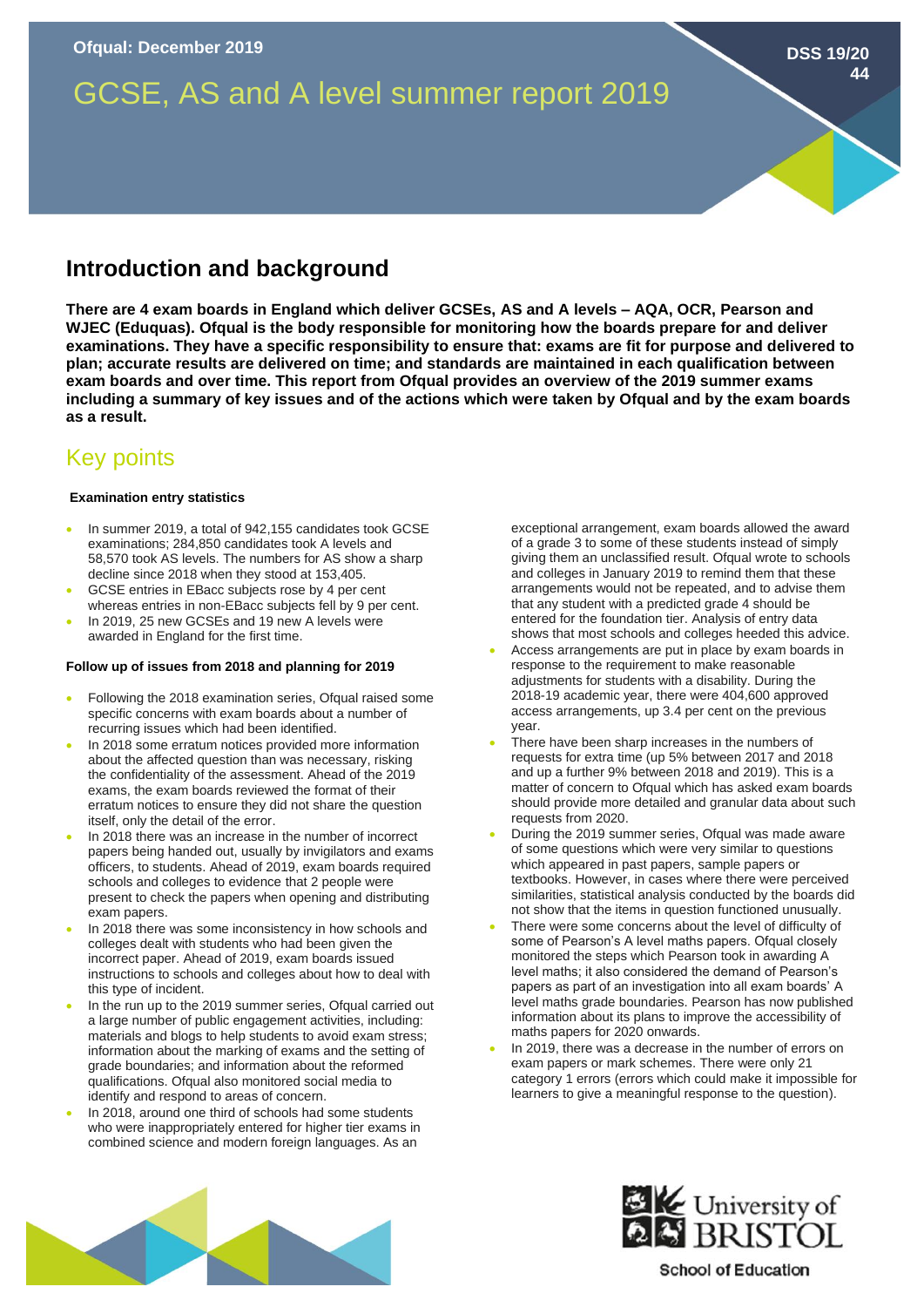# GCSE, AS and A level summer report 2019

## **Introduction and background**

**There are 4 exam boards in England which deliver GCSEs, AS and A levels – AQA, OCR, Pearson and WJEC (Eduquas). Ofqual is the body responsible for monitoring how the boards prepare for and deliver examinations. They have a specific responsibility to ensure that: exams are fit for purpose and delivered to plan; accurate results are delivered on time; and standards are maintained in each qualification between exam boards and over time. This report from Ofqual provides an overview of the 2019 summer exams including a summary of key issues and of the actions which were taken by Ofqual and by the exam boards as a result.** 

## Key points

### **Examination entry statistics**

- In summer 2019, a total of 942,155 candidates took GCSE examinations; 284,850 candidates took A levels and 58,570 took AS levels. The numbers for AS show a sharp decline since 2018 when they stood at 153,405.
- GCSE entries in EBacc subjects rose by 4 per cent whereas entries in non-EBacc subjects fell by 9 per cent.
- In 2019, 25 new GCSEs and 19 new A levels were awarded in England for the first time.

### **Follow up of issues from 2018 and planning for 2019**

- Following the 2018 examination series, Ofqual raised some specific concerns with exam boards about a number of recurring issues which had been identified.
- In 2018 some erratum notices provided more information about the affected question than was necessary, risking the confidentiality of the assessment. Ahead of the 2019 exams, the exam boards reviewed the format of their erratum notices to ensure they did not share the question itself, only the detail of the error.
- In 2018 there was an increase in the number of incorrect papers being handed out, usually by invigilators and exams officers, to students. Ahead of 2019, exam boards required schools and colleges to evidence that 2 people were present to check the papers when opening and distributing exam papers.
- In 2018 there was some inconsistency in how schools and colleges dealt with students who had been given the incorrect paper. Ahead of 2019, exam boards issued instructions to schools and colleges about how to deal with this type of incident.
- In the run up to the 2019 summer series, Ofqual carried out a large number of public engagement activities, including: materials and blogs to help students to avoid exam stress; information about the marking of exams and the setting of grade boundaries; and information about the reformed qualifications. Ofqual also monitored social media to identify and respond to areas of concern.
- In 2018, around one third of schools had some students who were inappropriately entered for higher tier exams in combined science and modern foreign languages. As an

exceptional arrangement, exam boards allowed the award of a grade 3 to some of these students instead of simply giving them an unclassified result. Of qual wrote to schools and colleges in January 2019 to remind them that these arrangements would not be repeated, and to advise them that any student with a predicted grade 4 should be entered for the foundation tier. Analysis of entry data shows that most schools and colleges heeded this advice.

- Access arrangements are put in place by exam boards in response to the requirement to make reasonable adjustments for students with a disability. During the 2018-19 academic year, there were 404,600 approved access arrangements, up 3.4 per cent on the previous year.
- There have been sharp increases in the numbers of requests for extra time (up 5% between 2017 and 2018 and up a further 9% between 2018 and 2019). This is a matter of concern to Ofqual which has asked exam boards should provide more detailed and granular data about such requests from 2020.
- During the 2019 summer series, Ofqual was made aware of some questions which were very similar to questions which appeared in past papers, sample papers or textbooks. However, in cases where there were perceived similarities, statistical analysis conducted by the boards did not show that the items in question functioned unusually.
- There were some concerns about the level of difficulty of some of Pearson's A level maths papers. Ofqual closely monitored the steps which Pearson took in awarding A level maths; it also considered the demand of Pearson's papers as part of an investigation into all exam boards' A level maths grade boundaries. Pearson has now published information about its plans to improve the accessibility of maths papers for 2020 onwards.
- In 2019, there was a decrease in the number of errors on exam papers or mark schemes. There were only 21 category 1 errors (errors which could make it impossible for learners to give a meaningful response to the question).





**DSS 19/20**

**44**

**School of Education**